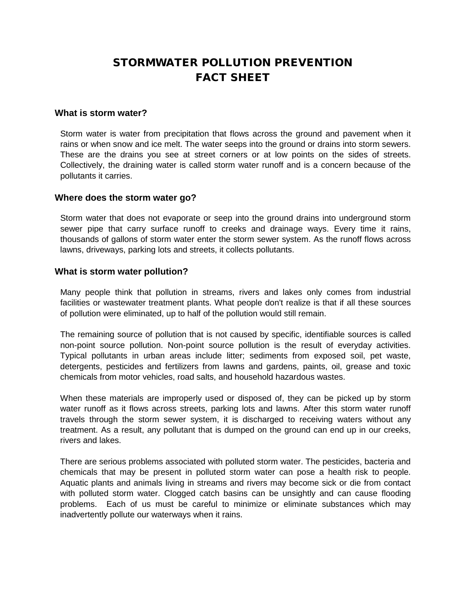# STORMWATER POLLUTION PREVENTION FACT SHEET

### **What is storm water?**

Storm water is water from precipitation that flows across the ground and pavement when it rains or when snow and ice melt. The water seeps into the ground or drains into storm sewers. These are the drains you see at street corners or at low points on the sides of streets. Collectively, the draining water is called storm water runoff and is a concern because of the pollutants it carries.

### **Where does the storm water go?**

Storm water that does not evaporate or seep into the ground drains into underground storm sewer pipe that carry surface runoff to creeks and drainage ways. Every time it rains, thousands of gallons of storm water enter the storm sewer system. As the runoff flows across lawns, driveways, parking lots and streets, it collects pollutants.

### **What is storm water pollution?**

Many people think that pollution in streams, rivers and lakes only comes from industrial facilities or wastewater treatment plants. What people don't realize is that if all these sources of pollution were eliminated, up to half of the pollution would still remain.

The remaining source of pollution that is not caused by specific, identifiable sources is called non-point source pollution. Non-point source pollution is the result of everyday activities. Typical pollutants in urban areas include litter; sediments from exposed soil, pet waste, detergents, pesticides and fertilizers from lawns and gardens, paints, oil, grease and toxic chemicals from motor vehicles, road salts, and household hazardous wastes.

When these materials are improperly used or disposed of, they can be picked up by storm water runoff as it flows across streets, parking lots and lawns. After this storm water runoff travels through the storm sewer system, it is discharged to receiving waters without any treatment. As a result, any pollutant that is dumped on the ground can end up in our creeks, rivers and lakes.

There are serious problems associated with polluted storm water. The pesticides, bacteria and chemicals that may be present in polluted storm water can pose a health risk to people. Aquatic plants and animals living in streams and rivers may become sick or die from contact with polluted storm water. Clogged catch basins can be unsightly and can cause flooding problems. Each of us must be careful to minimize or eliminate substances which may inadvertently pollute our waterways when it rains.